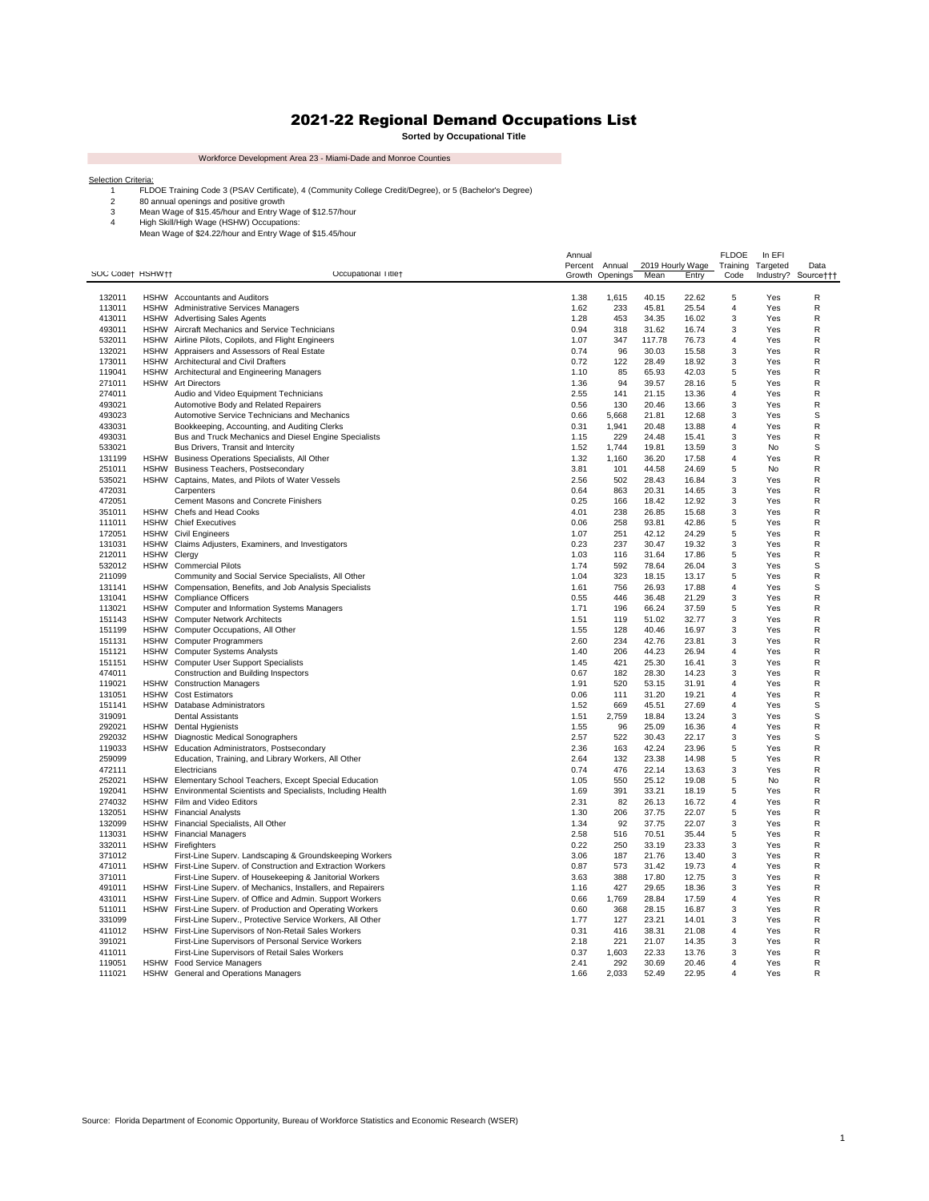## 2021-22 Regional Demand Occupations List

 $\sim 10^{11}$ 

**Sorted by Occupational Title**

Workforce Development Area 23 - Miami-Dade and Monroe Counties

**College** 

FLDOE Training Code 3 (PSAV Certificate), 4 (Community College Credit/Degree), or 5 (Bachelor's Degree)

Selection Criteria:<br>
1 ELDOE Training Code 3 (PSAV Certificate), 4 (Community<br>
2 80 annual openings and positive growth<br>
3 Mean Wage of \$15.45/hour and Entry Wage of \$15.57/hour<br>
4 High Skill/High Wage (HSHW) Occupations:<br>

| SOC Code† HSHW†† |                     | Occupational Titlet                                                                                                    | Annual<br>Percent | Annual<br>Growth Openings | Mean           | 2019 Hourly Wage<br><b>Entry</b> | <b>FLDOE</b><br>Training<br>Code | In EFI<br>Targeted<br>Industry? | Data<br>Source††† |
|------------------|---------------------|------------------------------------------------------------------------------------------------------------------------|-------------------|---------------------------|----------------|----------------------------------|----------------------------------|---------------------------------|-------------------|
| 132011           |                     | HSHW Accountants and Auditors                                                                                          | 1.38              | 1,615                     | 40.15          | 22.62                            | 5                                | Yes                             | R                 |
| 113011           |                     | HSHW Administrative Services Managers                                                                                  | 1.62              | 233                       | 45.81          | 25.54                            | $\overline{4}$                   | Yes                             | $\mathsf{R}$      |
| 413011           |                     | HSHW Advertising Sales Agents                                                                                          | 1.28              | 453                       | 34.35          | 16.02                            | 3                                | Yes                             | R                 |
| 493011           |                     | HSHW Aircraft Mechanics and Service Technicians                                                                        | 0.94              | 318                       | 31.62          | 16.74                            | 3                                | Yes                             | R                 |
| 532011           | <b>HSHW</b>         | Airline Pilots, Copilots, and Flight Engineers                                                                         | 1.07              | 347                       | 117.78         | 76.73                            | 4                                | Yes                             | R                 |
| 132021           | HSHW                | Appraisers and Assessors of Real Estate                                                                                | 0.74              | 96                        | 30.03          | 15.58                            | 3                                | Yes                             | R                 |
| 173011<br>119041 | <b>HSHW</b>         | HSHW Architectural and Civil Drafters<br>Architectural and Engineering Managers                                        | 0.72<br>1.10      | 122<br>85                 | 28.49<br>65.93 | 18.92<br>42.03                   | 3<br>5                           | Yes<br>Yes                      | R<br>R            |
| 271011           | HSHW                | <b>Art Directors</b>                                                                                                   | 1.36              | 94                        | 39.57          | 28.16                            | 5                                | Yes                             | R                 |
| 274011           |                     | Audio and Video Equipment Technicians                                                                                  | 2.55              | 141                       | 21.15          | 13.36                            | $\overline{4}$                   | Yes                             | R                 |
| 493021           |                     | Automotive Body and Related Repairers                                                                                  | 0.56              | 130                       | 20.46          | 13.66                            | 3                                | Yes                             | R                 |
| 493023           |                     | Automotive Service Technicians and Mechanics                                                                           | 0.66              | 5,668                     | 21.81          | 12.68                            | 3                                | Yes                             | S                 |
| 433031           |                     | Bookkeeping, Accounting, and Auditing Clerks                                                                           | 0.31              | 1,941                     | 20.48          | 13.88                            | $\overline{4}$                   | Yes                             | R                 |
| 493031           |                     | Bus and Truck Mechanics and Diesel Engine Specialists                                                                  | 1.15              | 229                       | 24.48          | 15.41                            | 3                                | Yes                             | R                 |
| 533021<br>131199 | <b>HSHW</b>         | Bus Drivers, Transit and Intercity<br>Business Operations Specialists, All Other                                       | 1.52<br>1.32      | 1,744<br>1,160            | 19.81<br>36.20 | 13.59<br>17.58                   | 3<br>4                           | No<br>Yes                       | S<br>R            |
| 251011           |                     | HSHW Business Teachers, Postsecondary                                                                                  | 3.81              | 101                       | 44.58          | 24.69                            | 5                                | No                              | R                 |
| 535021           |                     | HSHW Captains, Mates, and Pilots of Water Vessels                                                                      | 2.56              | 502                       | 28.43          | 16.84                            | 3                                | Yes                             | R                 |
| 472031           |                     | Carpenters                                                                                                             | 0.64              | 863                       | 20.31          | 14.65                            | 3                                | Yes                             | R                 |
| 472051           |                     | Cement Masons and Concrete Finishers                                                                                   | 0.25              | 166                       | 18.42          | 12.92                            | 3                                | Yes                             | R                 |
| 351011           |                     | HSHW Chefs and Head Cooks                                                                                              | 4.01              | 238                       | 26.85          | 15.68                            | 3                                | Yes                             | R                 |
| 111011           | <b>HSHW</b>         | <b>Chief Executives</b>                                                                                                | 0.06              | 258                       | 93.81          | 42.86                            | 5                                | Yes                             | R                 |
| 172051<br>131031 |                     | <b>HSHW</b> Civil Engineers<br>HSHW Claims Adjusters, Examiners, and Investigators                                     | 1.07<br>0.23      | 251<br>237                | 42.12<br>30.47 | 24.29<br>19.32                   | 5<br>3                           | Yes<br>Yes                      | R<br>R            |
| 212011           | <b>HSHW Clergy</b>  |                                                                                                                        | 1.03              | 116                       | 31.64          | 17.86                            | 5                                | Yes                             | R                 |
| 532012           |                     | HSHW Commercial Pilots                                                                                                 | 1.74              | 592                       | 78.64          | 26.04                            | 3                                | Yes                             | S                 |
| 211099           |                     | Community and Social Service Specialists, All Other                                                                    | 1.04              | 323                       | 18.15          | 13.17                            | 5                                | Yes                             | R                 |
| 131141           | <b>HSHW</b>         | Compensation, Benefits, and Job Analysis Specialists                                                                   | 1.61              | 756                       | 26.93          | 17.88                            | 4                                | Yes                             | S                 |
| 131041           |                     | HSHW Compliance Officers                                                                                               | 0.55              | 446                       | 36.48          | 21.29                            | 3                                | Yes                             | R                 |
| 113021           |                     | HSHW Computer and Information Systems Managers                                                                         | 1.71              | 196                       | 66.24          | 37.59                            | 5                                | Yes                             | R                 |
| 151143<br>151199 |                     | HSHW Computer Network Architects<br>HSHW Computer Occupations, All Other                                               | 1.51<br>1.55      | 119<br>128                | 51.02<br>40.46 | 32.77<br>16.97                   | 3<br>3                           | Yes<br>Yes                      | R<br>R            |
| 151131           |                     | HSHW Computer Programmers                                                                                              | 2.60              | 234                       | 42.76          | 23.81                            | 3                                | Yes                             | R                 |
| 151121           |                     | HSHW Computer Systems Analysts                                                                                         | 1.40              | 206                       | 44.23          | 26.94                            | $\overline{4}$                   | Yes                             | R                 |
| 151151           |                     | HSHW Computer User Support Specialists                                                                                 | 1.45              | 421                       | 25.30          | 16.41                            | 3                                | Yes                             | R                 |
| 474011           |                     | Construction and Building Inspectors                                                                                   | 0.67              | 182                       | 28.30          | 14.23                            | 3                                | Yes                             | R                 |
| 119021           |                     | HSHW Construction Managers                                                                                             | 1.91              | 520                       | 53.15          | 31.91                            | 4                                | Yes                             | R                 |
| 131051           |                     | HSHW Cost Estimators                                                                                                   | 0.06              | 111                       | 31.20          | 19.21                            | 4                                | Yes                             | R                 |
| 151141<br>319091 |                     | HSHW Database Administrators<br><b>Dental Assistants</b>                                                               | 1.52<br>1.51      | 669<br>2,759              | 45.51<br>18.84 | 27.69<br>13.24                   | $\overline{4}$<br>3              | Yes<br>Yes                      | S<br>S            |
| 292021           |                     | HSHW Dental Hygienists                                                                                                 | 1.55              | 96                        | 25.09          | 16.36                            | $\overline{4}$                   | Yes                             | R                 |
| 292032           |                     | HSHW Diagnostic Medical Sonographers                                                                                   | 2.57              | 522                       | 30.43          | 22.17                            | 3                                | Yes                             | S                 |
| 119033           |                     | HSHW Education Administrators, Postsecondary                                                                           | 2.36              | 163                       | 42.24          | 23.96                            | 5                                | Yes                             | R                 |
| 259099           |                     | Education, Training, and Library Workers, All Other                                                                    | 2.64              | 132                       | 23.38          | 14.98                            | 5                                | Yes                             | R                 |
| 472111           |                     | Electricians                                                                                                           | 0.74              | 476                       | 22.14          | 13.63                            | 3                                | Yes                             | R                 |
| 252021           |                     | HSHW Elementary School Teachers, Except Special Education                                                              | 1.05              | 550                       | 25.12          | 19.08                            | 5                                | <b>No</b>                       | R                 |
| 192041<br>274032 | HSHW                | Environmental Scientists and Specialists, Including Health<br>HSHW Film and Video Editors                              | 1.69<br>2.31      | 391<br>82                 | 33.21<br>26.13 | 18.19<br>16.72                   | 5<br>$\overline{4}$              | Yes<br>Yes                      | R<br>R            |
| 132051           | <b>HSHW</b>         | <b>Financial Analysts</b>                                                                                              | 1.30              | 206                       | 37.75          | 22.07                            | 5                                | Yes                             | R                 |
| 132099           | HSHW                | Financial Specialists, All Other                                                                                       | 1.34              | 92                        | 37.75          | 22.07                            | 3                                | Yes                             | R                 |
| 113031           |                     | <b>HSHW</b> Financial Managers                                                                                         | 2.58              | 516                       | 70.51          | 35.44                            | 5                                | Yes                             | R                 |
| 332011           | <b>HSHW</b>         | Firefighters                                                                                                           | 0.22              | 250                       | 33.19          | 23.33                            | 3                                | Yes                             | R                 |
| 371012           |                     | First-Line Superv. Landscaping & Groundskeeping Workers                                                                | 3.06              | 187                       | 21.76          | 13.40                            | 3                                | Yes                             | R                 |
| 471011           |                     | HSHW First-Line Superv. of Construction and Extraction Workers                                                         | 0.87              | 573                       | 31.42          | 19.73                            | $\overline{\mathbf{4}}$          | Yes                             | R                 |
| 371011           |                     | First-Line Superv. of Housekeeping & Janitorial Workers                                                                | 3.63              | 388                       | 17.80          | 12.75                            | 3                                | Yes                             | R                 |
| 491011           | HSHW<br><b>HSHW</b> | First-Line Superv. of Mechanics, Installers, and Repairers                                                             | 1.16              | 427                       | 29.65          | 18.36                            | 3<br>$\overline{4}$              | Yes                             | R<br>R            |
| 431011<br>511011 |                     | First-Line Superv. of Office and Admin. Support Workers<br>HSHW First-Line Superv. of Production and Operating Workers | 0.66<br>0.60      | 1,769<br>368              | 28.84<br>28.15 | 17.59<br>16.87                   | 3                                | Yes<br>Yes                      | R                 |
| 331099           |                     | First-Line Superv., Protective Service Workers, All Other                                                              | 1.77              | 127                       | 23.21          | 14.01                            | 3                                | Yes                             | R                 |
| 411012           | <b>HSHW</b>         | First-Line Supervisors of Non-Retail Sales Workers                                                                     | 0.31              | 416                       | 38.31          | 21.08                            | 4                                | Yes                             | R                 |
| 391021           |                     | First-Line Supervisors of Personal Service Workers                                                                     | 2.18              | 221                       | 21.07          | 14.35                            | 3                                | Yes                             | R                 |
| 411011           |                     | First-Line Supervisors of Retail Sales Workers                                                                         | 0.37              | 1.603                     | 22.33          | 13.76                            | 3                                | Yes                             | R                 |
| 119051           |                     | HSHW Food Service Managers                                                                                             | 2.41              | 292                       | 30.69          | 20.46                            | 4                                | Yes                             | R                 |
| 111021           |                     | HSHW General and Operations Managers                                                                                   | 1.66              | 2,033                     | 52.49          | 22.95                            | $\overline{4}$                   | Yes                             | R                 |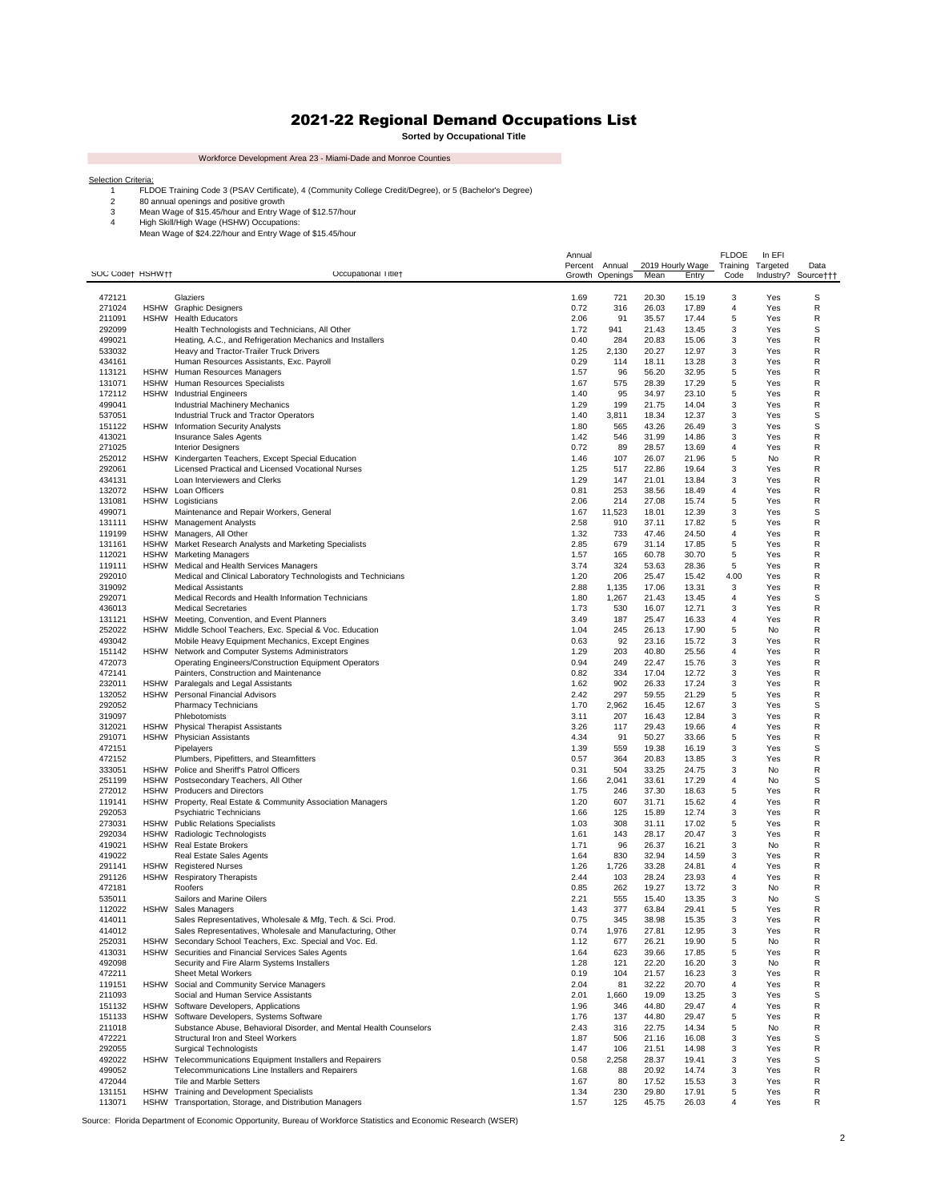## 2021-22 Regional Demand Occupations List

**Sorted by Occupational Title**

 $\sim 100$ 

Workforce Development Area 23 - Miami-Dade and Monroe Counties

**College** 

FLDOE Training Code 3 (PSAV Certificate), 4 (Community College Credit/Degree), or 5 (Bachelor's Degree)

Selection Criteria:<br>
1 ELDOE Training Code 3 (PSAV Certificate), 4 (Community<br>
2 80 annual openings and positive growth<br>
3 Mean Wage of \$15.45/hour and Entry Wage of \$15.57/hour<br>
4 High Skill/High Wage (HSHW) Occupations:<br>

| SOC Code† HSHW†† |                            | Occupational Titlet                                                                                            | Annual<br>Percent | Annual          | 2019 Hourly Wage |                | <b>FLDOE</b><br>Training | In EFI<br>Targeted | Data                |
|------------------|----------------------------|----------------------------------------------------------------------------------------------------------------|-------------------|-----------------|------------------|----------------|--------------------------|--------------------|---------------------|
|                  |                            |                                                                                                                |                   | Growth Openings | Mean             | Entry          | Code                     |                    | Industry? Source††† |
| 472121           |                            | Glaziers                                                                                                       | 1.69              | 721             | 20.30            | 15.19          | 3                        | Yes                | S                   |
| 271024<br>211091 | <b>HSHW</b><br><b>HSHW</b> | <b>Graphic Designers</b><br><b>Health Educators</b>                                                            | 0.72<br>2.06      | 316<br>91       | 26.03<br>35.57   | 17.89<br>17.44 | 4<br>5                   | Yes<br>Yes         | R<br>R              |
| 292099           |                            | Health Technologists and Technicians, All Other                                                                | 1.72              | 941             | 21.43            | 13.45          | 3                        | Yes                | S                   |
| 499021           |                            | Heating, A.C., and Refrigeration Mechanics and Installers                                                      | 0.40              | 284             | 20.83            | 15.06          | 3                        | Yes                | R                   |
| 533032           |                            | Heavy and Tractor-Trailer Truck Drivers                                                                        | 1.25<br>0.29      | 2,130           | 20.27            | 12.97          | 3                        | Yes                | R<br>R              |
| 434161<br>113121 | <b>HSHW</b>                | Human Resources Assistants, Exc. Payroll<br>Human Resources Managers                                           | 1.57              | 114<br>96       | 18.11<br>56.20   | 13.28<br>32.95 | 3<br>5                   | Yes<br>Yes         | R                   |
| 131071           | <b>HSHW</b>                | Human Resources Specialists                                                                                    | 1.67              | 575             | 28.39            | 17.29          | 5                        | Yes                | R                   |
| 172112           |                            | <b>HSHW</b> Industrial Engineers                                                                               | 1.40              | 95              | 34.97            | 23.10          | 5                        | Yes                | R                   |
| 499041           |                            | <b>Industrial Machinery Mechanics</b>                                                                          | 1.29              | 199             | 21.75            | 14.04          | 3                        | Yes                | R                   |
| 537051<br>151122 | <b>HSHW</b>                | Industrial Truck and Tractor Operators<br><b>Information Security Analysts</b>                                 | 1.40<br>1.80      | 3,811<br>565    | 18.34<br>43.26   | 12.37<br>26.49 | 3<br>3                   | Yes<br>Yes         | S<br>S              |
| 413021           |                            | <b>Insurance Sales Agents</b>                                                                                  | 1.42              | 546             | 31.99            | 14.86          | 3                        | Yes                | R                   |
| 271025           |                            | <b>Interior Designers</b>                                                                                      | 0.72              | 89              | 28.57            | 13.69          | 4                        | Yes                | R                   |
| 252012<br>292061 | <b>HSHW</b>                | Kindergarten Teachers, Except Special Education<br>Licensed Practical and Licensed Vocational Nurses           | 1.46<br>1.25      | 107<br>517      | 26.07<br>22.86   | 21.96<br>19.64 | 5<br>3                   | No<br>Yes          | R<br>R              |
| 434131           |                            | Loan Interviewers and Clerks                                                                                   | 1.29              | 147             | 21.01            | 13.84          | 3                        | Yes                | R                   |
| 132072           | <b>HSHW</b>                | Loan Officers                                                                                                  | 0.81              | 253             | 38.56            | 18.49          | $\overline{\mathbf{4}}$  | Yes                | R                   |
| 131081           |                            | HSHW Logisticians                                                                                              | 2.06              | 214             | 27.08            | 15.74          | 5                        | Yes                | R                   |
| 499071           |                            | Maintenance and Repair Workers, General                                                                        | 1.67              | 11,523          | 18.01            | 12.39          | 3<br>5                   | Yes                | S<br>R              |
| 131111<br>119199 |                            | HSHW Management Analysts<br>HSHW Managers, All Other                                                           | 2.58<br>1.32      | 910<br>733      | 37.11<br>47.46   | 17.82<br>24.50 | 4                        | Yes<br>Yes         | R                   |
| 131161           |                            | HSHW Market Research Analysts and Marketing Specialists                                                        | 2.85              | 679             | 31.14            | 17.85          | 5                        | Yes                | R                   |
| 112021           | <b>HSHW</b>                | <b>Marketing Managers</b>                                                                                      | 1.57              | 165             | 60.78            | 30.70          | 5                        | Yes                | R                   |
| 119111           |                            | HSHW Medical and Health Services Managers                                                                      | 3.74              | 324             | 53.63            | 28.36          | 5                        | Yes                | R                   |
| 292010<br>319092 |                            | Medical and Clinical Laboratory Technologists and Technicians<br><b>Medical Assistants</b>                     | 1.20<br>2.88      | 206<br>1,135    | 25.47<br>17.06   | 15.42<br>13.31 | 4.00<br>3                | Yes<br>Yes         | R<br>R              |
| 292071           |                            | Medical Records and Health Information Technicians                                                             | 1.80              | 1,267           | 21.43            | 13.45          | 4                        | Yes                | S                   |
| 436013           |                            | <b>Medical Secretaries</b>                                                                                     | 1.73              | 530             | 16.07            | 12.71          | 3                        | Yes                | R                   |
| 131121           | <b>HSHW</b>                | Meeting, Convention, and Event Planners                                                                        | 3.49              | 187             | 25.47            | 16.33          | 4                        | Yes                | R                   |
| 252022<br>493042 | <b>HSHW</b>                | Middle School Teachers, Exc. Special & Voc. Education<br>Mobile Heavy Equipment Mechanics, Except Engines      | 1.04<br>0.63      | 245<br>92       | 26.13<br>23.16   | 17.90<br>15.72 | 5<br>3                   | No<br>Yes          | R<br>R              |
| 151142           | <b>HSHW</b>                | Network and Computer Systems Administrators                                                                    | 1.29              | 203             | 40.80            | 25.56          | 4                        | Yes                | R                   |
| 472073           |                            | Operating Engineers/Construction Equipment Operators                                                           | 0.94              | 249             | 22.47            | 15.76          | 3                        | Yes                | R                   |
| 472141           |                            | Painters, Construction and Maintenance                                                                         | 0.82              | 334             | 17.04            | 12.72          | 3                        | Yes                | R                   |
| 232011<br>132052 | <b>HSHW</b><br><b>HSHW</b> | Paralegals and Legal Assistants<br>Personal Financial Advisors                                                 | 1.62<br>2.42      | 902<br>297      | 26.33<br>59.55   | 17.24<br>21.29 | 3<br>5                   | Yes<br>Yes         | R<br>R              |
| 292052           |                            | Pharmacy Technicians                                                                                           | 1.70              | 2,962           | 16.45            | 12.67          | 3                        | Yes                | S                   |
| 319097           |                            | Phlebotomists                                                                                                  | 3.11              | 207             | 16.43            | 12.84          | 3                        | Yes                | R                   |
| 312021           | <b>HSHW</b>                | <b>Physical Therapist Assistants</b>                                                                           | 3.26              | 117             | 29.43            | 19.66          | 4                        | Yes                | R                   |
| 291071<br>472151 | <b>HSHW</b>                | <b>Physician Assistants</b><br>Pipelayers                                                                      | 4.34<br>1.39      | 91<br>559       | 50.27<br>19.38   | 33.66<br>16.19 | 5<br>3                   | Yes<br>Yes         | R<br>S              |
| 472152           |                            | Plumbers, Pipefitters, and Steamfitters                                                                        | 0.57              | 364             | 20.83            | 13.85          | 3                        | Yes                | R                   |
| 333051           | <b>HSHW</b>                | Police and Sheriff's Patrol Officers                                                                           | 0.31              | 504             | 33.25            | 24.75          | 3                        | No                 | R                   |
| 251199           | <b>HSHW</b>                | Postsecondary Teachers, All Other                                                                              | 1.66              | 2,041           | 33.61            | 17.29          | 4                        | No                 | S                   |
| 272012<br>119141 | <b>HSHW</b>                | <b>Producers and Directors</b><br>HSHW Property, Real Estate & Community Association Managers                  | 1.75<br>1.20      | 246<br>607      | 37.30<br>31.71   | 18.63<br>15.62 | 5<br>4                   | Yes<br>Yes         | R<br>R              |
| 292053           |                            | <b>Psychiatric Technicians</b>                                                                                 | 1.66              | 125             | 15.89            | 12.74          | 3                        | Yes                | R                   |
| 273031           |                            | HSHW Public Relations Specialists                                                                              | 1.03              | 308             | 31.11            | 17.02          | 5                        | Yes                | R                   |
| 292034           | <b>HSHW</b>                | Radiologic Technologists                                                                                       | 1.61              | 143             | 28.17            | 20.47          | 3                        | Yes                | R                   |
| 419021<br>419022 | <b>HSHW</b>                | <b>Real Estate Brokers</b><br>Real Estate Sales Agents                                                         | 1.71<br>1.64      | 96<br>830       | 26.37<br>32.94   | 16.21<br>14.59 | 3<br>3                   | No<br>Yes          | R<br>R              |
| 291141           | <b>HSHW</b>                | <b>Registered Nurses</b>                                                                                       | 1.26              | 1,726           | 33.28            | 24.81          | 4                        | Yes                | R                   |
| 291126           | <b>HSHW</b>                | <b>Respiratory Therapists</b>                                                                                  | 2.44              | 103             | 28.24            | 23.93          | $\overline{\mathbf{4}}$  | Yes                | R                   |
| 472181           |                            | Roofers                                                                                                        | 0.85              | 262             | 19.27            | 13.72          | 3                        | No                 | R                   |
| 535011<br>112022 | <b>HSHW</b>                | Sailors and Marine Oilers<br>Sales Managers                                                                    | 2.21<br>1.43      | 555<br>377      | 15.40<br>63.84   | 13.35<br>29.41 | 3<br>5                   | No<br>Yes          | S<br>R              |
| 414011           |                            | Sales Representatives, Wholesale & Mfg, Tech. & Sci. Prod.                                                     | 0.75              | 345             | 38.98            | 15.35          | 3                        | Yes                | R                   |
| 414012           |                            | Sales Representatives, Wholesale and Manufacturing, Other                                                      | 0.74              | 1,976           | 27.81            | 12.95          | 3                        | Yes                | R                   |
| 252031           | HSHW                       | Secondary School Teachers, Exc. Special and Voc. Ed.                                                           | 1.12              | 677             | 26.21            | 19.90          | 5                        | No                 | R                   |
| 413031<br>492098 | <b>HSHW</b>                | Securities and Financial Services Sales Agents<br>Security and Fire Alarm Systems Installers                   | 1.64<br>1.28      | 623<br>121      | 39.66<br>22.20   | 17.85<br>16.20 | 5<br>3                   | Yes<br>No          | R<br>R              |
| 472211           |                            | Sheet Metal Workers                                                                                            | 0.19              | 104             | 21.57            | 16.23          | 3                        | Yes                | R                   |
| 119151           |                            | HSHW Social and Community Service Managers                                                                     | 2.04              | 81              | 32.22            | 20.70          | 4                        | Yes                | R                   |
| 211093           |                            | Social and Human Service Assistants                                                                            | 2.01              | 1,660           | 19.09            | 13.25          | 3                        | Yes                | S                   |
| 151132<br>151133 | <b>HSHW</b><br><b>HSHW</b> | Software Developers, Applications<br>Software Developers, Systems Software                                     | 1.96<br>1.76      | 346<br>137      | 44.80<br>44.80   | 29.47<br>29.47 | 4<br>5                   | Yes<br>Yes         | R<br>R              |
| 211018           |                            | Substance Abuse, Behavioral Disorder, and Mental Health Counselors                                             | 2.43              | 316             | 22.75            | 14.34          | 5                        | No                 | R                   |
| 472221           |                            | Structural Iron and Steel Workers                                                                              | 1.87              | 506             | 21.16            | 16.08          | 3                        | Yes                | S                   |
| 292055           |                            | <b>Surgical Technologists</b>                                                                                  | 1.47              | 106             | 21.51            | 14.98          | 3                        | Yes                | R                   |
| 492022<br>499052 |                            | HSHW Telecommunications Equipment Installers and Repairers<br>Telecommunications Line Installers and Repairers | 0.58<br>1.68      | 2,258<br>88     | 28.37<br>20.92   | 19.41<br>14.74 | 3<br>3                   | Yes<br>Yes         | S<br>R              |
| 472044           |                            | Tile and Marble Setters                                                                                        | 1.67              | 80              | 17.52            | 15.53          | 3                        | Yes                | R                   |
| 131151           |                            | HSHW Training and Development Specialists                                                                      | 1.34              | 230             | 29.80            | 17.91          | 5                        | Yes                | R                   |
| 113071           |                            | HSHW Transportation, Storage, and Distribution Managers                                                        | 1.57              | 125             | 45.75            | 26.03          | 4                        | Yes                | R                   |

Source: Florida Department of Economic Opportunity, Bureau of Workforce Statistics and Economic Research (WSER)